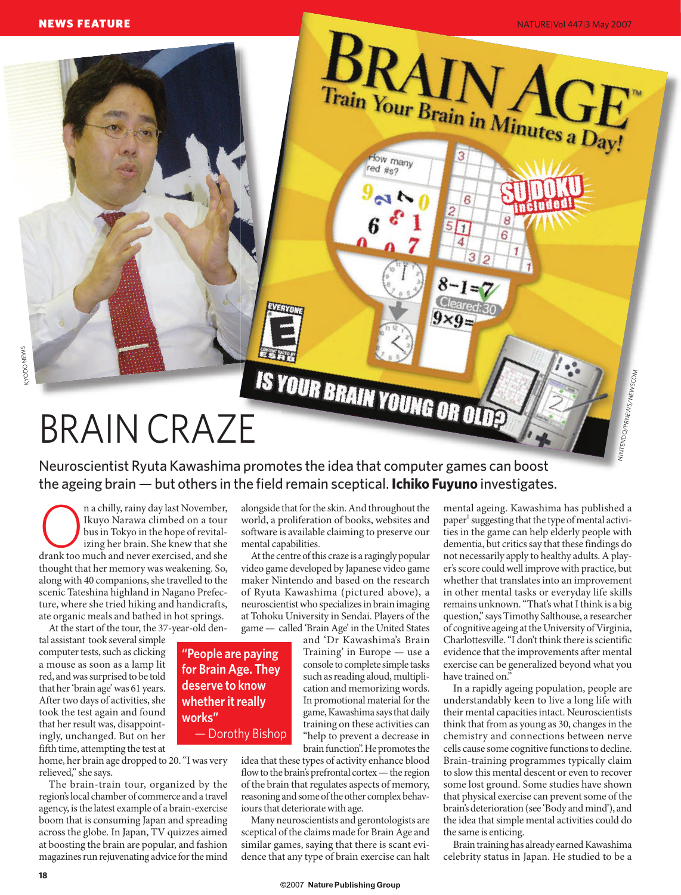

NEWS FEATURE

Neuroscientist Ryuta Kawashima promotes the idea that computer games can boost the ageing brain — but others in the field remain sceptical. **Ichiko Fuyuno** investigates.

**Concept and System** a chilly, rainy day last November, Ikuyo Narawa climbed on a tour bus in Tokyo in the hope of revitalizing her brain. She knew that she drank too much and never exercised, and she Ikuyo Narawa climbed on a tour bus in Tokyo in the hope of revitalizing her brain. She knew that she thought that her memory was weakening. So, along with 40 companions, she travelled to the scenic Tateshina highland in Nagano Prefecture, where she tried hiking and handicrafts, ate organic meals and bathed in hot springs.

At the start of the tour, the 37-year-old den-

tal assistant took several simple computer tests, such as clicking a mouse as soon as a lamp lit red, and was surprised to be told that her 'brain age' was 61 years. After two days of activities, she took the test again and found that her result was, disappointingly, unchanged. But on her fifth time, attempting the test at

**"People are paying for Brain Age. They deserve to know whether it really works"**  — Dorothy Bishop

home, her brain age dropped to 20. "I was very relieved," she says.

The brain-train tour, organized by the region's local chamber of commerce and a travel agency, is the latest example of a brain-exercise boom that is consuming Japan and spreading across the globe. In Japan, TV quizzes aimed at boosting the brain are popular, and fashion magazines run rejuvenating advice for the mind

alongside that for the skin. And throughout the world, a proliferation of books, websites and software is available claiming to preserve our mental capabilities.

At the centre of this craze is a ragingly popular video game developed by Japanese video game maker Nintendo and based on the research of Ryuta Kawashima (pictured above), a neuroscientist who specializes in brain imaging at Tohoku University in Sendai. Players of the game — called 'Brain Age' in the United States

> and 'Dr Kawashima's Brain Training' in Europe — use a console to complete simple tasks such as reading aloud, multiplication and memorizing words. In promotional material for the game, Kawashima says that daily training on these activities can "help to prevent a decrease in brain function". He promotes the

idea that these types of activity enhance blood flow to the brain's prefrontal cortex — the region of the brain that regulates aspects of memory, reasoning and some of the other complex behaviours that deteriorate with age.

Many neuroscientists and gerontologists are sceptical of the claims made for Brain Age and similar games, saying that there is scant evidence that any type of brain exercise can halt

mental ageing. Kawashima has published a paper<sup>1</sup> suggesting that the type of mental activities in the game can help elderly people with dementia, but critics say that these findings do not necessarily apply to healthy adults. A player's score could well improve with practice, but whether that translates into an improvement in other mental tasks or everyday life skills remains unknown. "That's what I think is a big question," says Timothy Salthouse, a researcher of cognitive ageing at the University of Virginia, Charlottesville. "I don't think there is scientific evidence that the improvements after mental exercise can be generalized beyond what you have trained on."

NINTENDO/PRNEWS/NEWSCOM

NATURE|Vol 447|3 May 2007

In a rapidly ageing population, people are understandably keen to live a long life with their mental capacities intact. Neuroscientists think that from as young as 30, changes in the chemistry and connections between nerve cells cause some cognitive functions to decline. Brain-training programmes typically claim to slow this mental descent or even to recover some lost ground. Some studies have shown that physical exercise can prevent some of the brain's deterioration (see 'Body and mind'), and the idea that simple mental activities could do the same is enticing.

Brain training has already earned Kawashima celebrity status in Japan. He studied to be a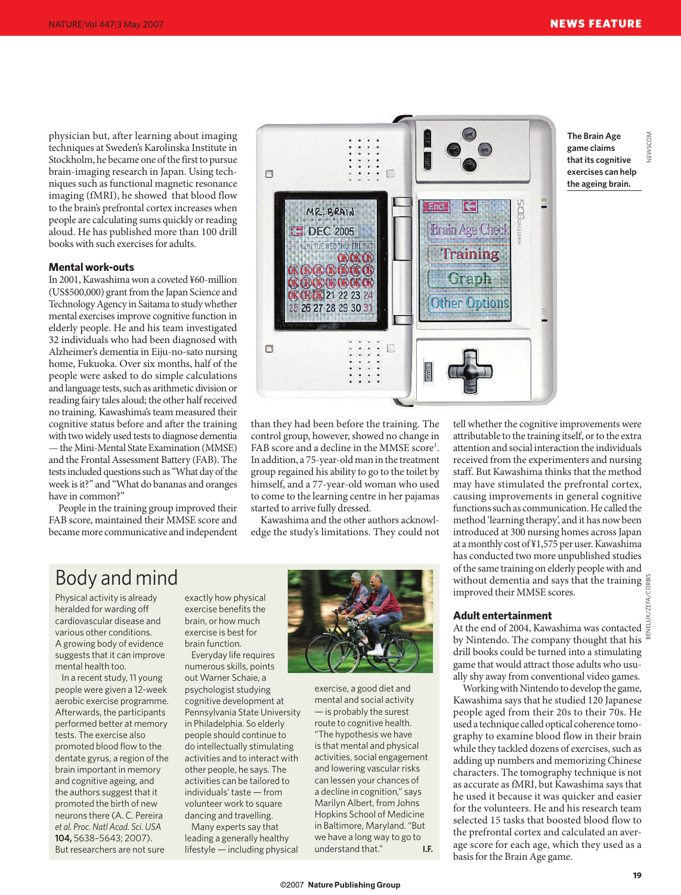VEWSCOM

physician but, after learning about imaging techniques at Sweden's Karolinska Institute in Stockholm, he became one of the first to pursue brain-imaging research in Japan. Using techniques such as functional magnetic resonance imaging (fMRI), he showed that blood flow to the brain's prefrontal cortex increases when people are calculating sums quickly or reading aloud. He has published more than 100 drill books with such exercises for adults.

#### **Mental work-outs**

In 2001, Kawashima won a coveted ¥60-million (US\$500,000) grant from the Japan Science and Technology Agency in Saitama to study whether mental exercises improve cognitive function in elderly people. He and his team investigated 32 individuals who had been diagnosed with Alzheimer's dementia in Eiju-no-sato nursing home, Fukuoka. Over six months, half of the people were asked to do simple calculations and language tests, such as arithmetic division or reading fairy tales aloud; the other half received no training. Kawashima's team measured their cognitive status before and after the training with two widely used tests to diagnose dementia — the Mini-Mental State Examination (MMSE) and the Frontal Assessment Battery (FAB). The tests included questions such as "What day of the week is it?" and "What do bananas and oranges have in common?"

People in the training group improved their FAB score, maintained their MMSE score and became more communicative and independent



than they had been before the training. The control group, however, showed no change in FAB score and a decline in the MMSE score<sup>1</sup>. In addition, a 75-year-old man in the treatment group regained his ability to go to the toilet by himself, and a 77-year-old woman who used to come to the learning centre in her pajamas started to arrive fully dressed.

Kawashima and the other authors acknowledge the study's limitations. They could not

# Body and mind

Physical activity is already heralded for warding off cardiovascular disease and various other conditions. A growing body of evidence suggests that it can improve mental health too.

In a recent study, 11 young people were given a 12-week aerobic exercise programme. Afterwards, the participants performed better at memory tests. The exercise also promoted blood flow to the dentate gyrus, a region of the brain important in memory and cognitive ageing, and the authors suggest that it promoted the birth of new neurons there (A. C. Pereira *et al. Proc. Natl Acad. Sci. USA* **104,** 5638–5643; 2007). But researchers are not sure

exactly how physical exercise benefits the brain, or how much exercise is best for brain function. Everyday life requires

numerous skills, points out Warner Schaie, a psychologist studying cognitive development at Pennsylvania State University in Philadelphia. So elderly people should continue to do intellectually stimulating activities and to interact with other people, he says. The activities can be tailored to individuals' taste — from volunteer work to square dancing and travelling.

Many experts say that leading a generally healthy lifestyle — including physical



exercise, a good diet and mental and social activity — is probably the surest route to cognitive health. "The hypothesis we have is that mental and physical activities, social engagement and lowering vascular risks can lessen your chances of a decline in cognition," says Marilyn Albert, from Johns Hopkins School of Medicine in Baltimore, Maryland. "But we have a long way to go to<br>understand that." understand that."

tell whether the cognitive improvements were attributable to the training itself, or to the extra attention and social interaction the individuals received from the experimenters and nursing staff. But Kawashima thinks that the method may have stimulated the prefrontal cortex, causing improvements in general cognitive functions such as communication. He called the method 'learning therapy', and it has now been introduced at 300 nursing homes across Japan at a monthly cost of ¥1,575 per user. Kawashima has conducted two more unpublished studies of the same training on elderly people with and without dementia and says that the training improved their MMSE scores.

### **Adult entertainment**

At the end of 2004, Kawashima was contacted  $\frac{1}{2}$ by Nintendo. The company thought that his drill books could be turned into a stimulating game that would attract those adults who usually shy away from conventional video games.

Working with Nintendo to develop the game, Kawashima says that he studied 120 Japanese people aged from their 20s to their 70s. He used a technique called optical coherence tomography to examine blood flow in their brain while they tackled dozens of exercises, such as adding up numbers and memorizing Chinese characters. The tomography technique is not as accurate as fMRI, but Kawashima says that he used it because it was quicker and easier for the volunteers. He and his research team selected 15 tasks that boosted blood flow to the prefrontal cortex and calculated an average score for each age, which they used as a basis for the Brain Age game.